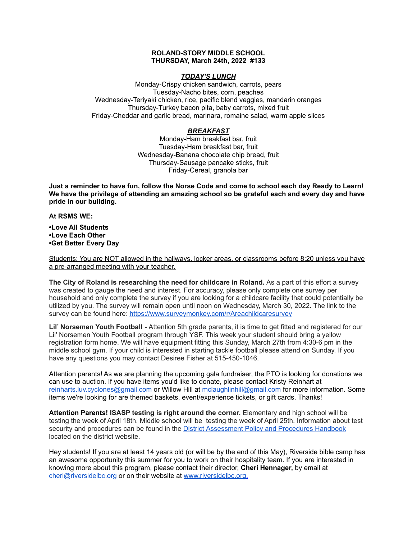### **ROLAND-STORY MIDDLE SCHOOL THURSDAY, March 24th, 2022 #133**

### *TODAY'S LUNCH*

Monday-Crispy chicken sandwich, carrots, pears Tuesday-Nacho bites, corn, peaches Wednesday-Teriyaki chicken, rice, pacific blend veggies, mandarin oranges Thursday-Turkey bacon pita, baby carrots, mixed fruit Friday-Cheddar and garlic bread, marinara, romaine salad, warm apple slices

## *BREAKFAST*

Monday-Ham breakfast bar, fruit Tuesday-Ham breakfast bar, fruit Wednesday-Banana chocolate chip bread, fruit Thursday-Sausage pancake sticks, fruit Friday-Cereal, granola bar

Just a reminder to have fun, follow the Norse Code and come to school each day Ready to Learn! **We have the privilege of attending an amazing school so be grateful each and every day and have pride in our building.**

#### **At RSMS WE:**

**•Love All Students •Love Each Other •Get Better Every Day**

Students: You are NOT allowed in the hallways, locker areas, or classrooms before 8:20 unless you have a pre-arranged meeting with your teacher.

**The City of Roland is researching the need for childcare in Roland.** As a part of this effort a survey was created to gauge the need and interest. For accuracy, please only complete one survey per household and only complete the survey if you are looking for a childcare facility that could potentially be utilized by you. The survey will remain open until noon on Wednesday, March 30, 2022. The link to the survey can be found here: <https://www.surveymonkey.com/r/Areachildcaresurvey>

**Lil' Norsemen Youth Football** - Attention 5th grade parents, it is time to get fitted and registered for our Lil' Norsemen Youth Football program through YSF. This week your student should bring a yellow registration form home. We will have equipment fitting this Sunday, March 27th from 4:30-6 pm in the middle school gym. If your child is interested in starting tackle football please attend on Sunday. If you have any questions you may contact Desiree Fisher at 515-450-1046.

Attention parents! As we are planning the upcoming gala fundraiser, the PTO is looking for donations we can use to auction. If you have items you'd like to donate, please contact Kristy Reinhart at reinharts.luv.cyclones@gmail.com or Willow Hill at mclaughlinhill@gmail.com for more information. Some items we're looking for are themed baskets, event/experience tickets, or gift cards. Thanks!

**Attention Parents! ISASP testing is right around the corner.** Elementary and high school will be testing the week of April 18th. Middle school will be testing the week of April 25th. Information about test security and procedures can be found in the District [Assessment](https://rolandstory.school/media/Michelle%20Soderstrum/RSCSD_District_Assessment_Poli%20-%20Copy%203.pdf) Policy and Procedures Handbook located on the district website.

Hey students! If you are at least 14 years old (or will be by the end of this May), Riverside bible camp has an awesome opportunity this summer for you to work on their hospitality team. If you are interested in knowing more about this program, please contact their director, **Cheri Hennager,** by email at cheri@riversidelbc.org or on their website at [www.riversidelbc.org.](http://www.riversidelbc.org/)